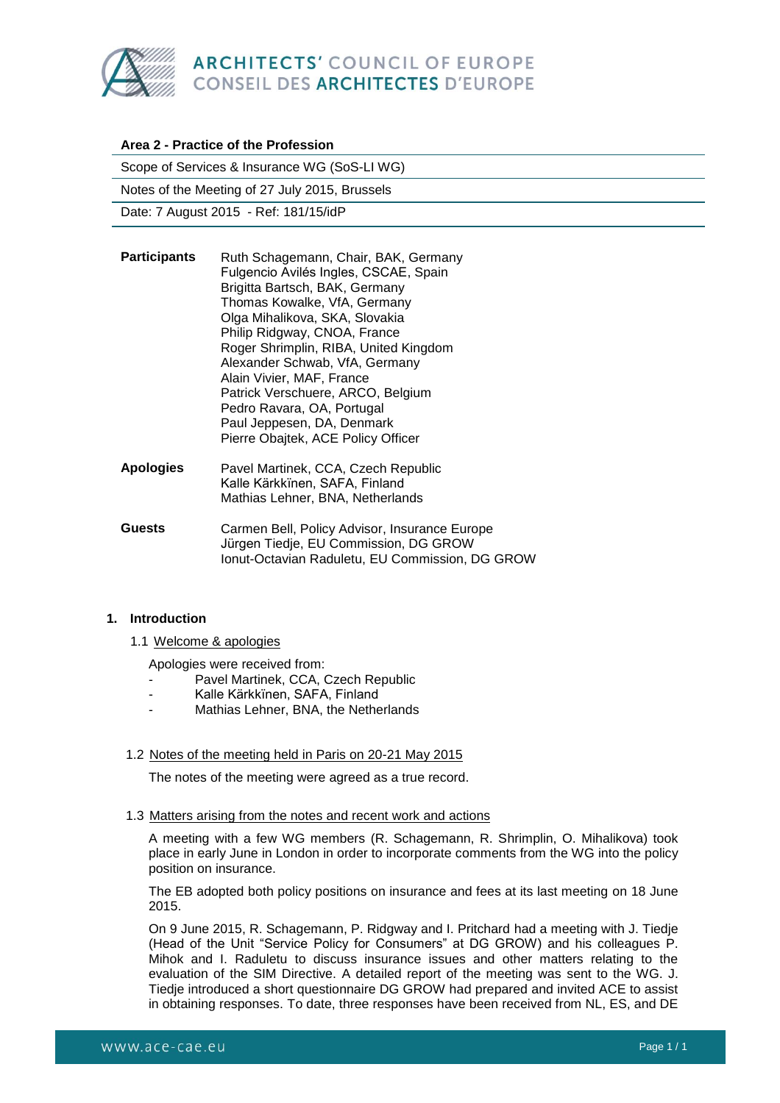

| Area 2 - Practice of the Profession            |                                                                                                                                                                                                                                                                                              |
|------------------------------------------------|----------------------------------------------------------------------------------------------------------------------------------------------------------------------------------------------------------------------------------------------------------------------------------------------|
| Scope of Services & Insurance WG (SoS-LI WG)   |                                                                                                                                                                                                                                                                                              |
| Notes of the Meeting of 27 July 2015, Brussels |                                                                                                                                                                                                                                                                                              |
| Date: 7 August 2015 - Ref: 181/15/idP          |                                                                                                                                                                                                                                                                                              |
| <b>Participants</b>                            | Ruth Schagemann, Chair, BAK, Germany<br>Fulgencio Avilés Ingles, CSCAE, Spain<br>Brigitta Bartsch, BAK, Germany<br>Thomas Kowalke, VfA, Germany<br>Olga Mihalikova, SKA, Slovakia<br>Philip Ridgway, CNOA, France<br>Roger Shrimplin, RIBA, United Kingdom<br>Alexander Schwab, VfA, Germany |
|                                                | Alain Vivier, MAF, France                                                                                                                                                                                                                                                                    |

Patrick Verschuere, ARCO, Belgium Pedro Ravara, OA, Portugal Paul Jeppesen, DA, Denmark Pierre Obajtek, ACE Policy Officer **Apologies** Pavel Martinek, CCA, Czech Republic Kalle Kärkkïnen, SAFA, Finland Mathias Lehner, BNA, Netherlands **Guests** Carmen Bell, Policy Advisor, Insurance Europe

# Jürgen Tiedje, EU Commission, DG GROW Ionut-Octavian Raduletu, EU Commission, DG GROW

# **1. Introduction**

1.1 Welcome & apologies

Apologies were received from:

- Pavel Martinek, CCA, Czech Republic
- Kalle Kärkkïnen, SAFA, Finland
- Mathias Lehner, BNA, the Netherlands

# 1.2 Notes of the meeting held in Paris on 20-21 May 2015

The notes of the meeting were agreed as a true record.

## 1.3 Matters arising from the notes and recent work and actions

A meeting with a few WG members (R. Schagemann, R. Shrimplin, O. Mihalikova) took place in early June in London in order to incorporate comments from the WG into the policy position on insurance.

The EB adopted both policy positions on insurance and fees at its last meeting on 18 June 2015.

On 9 June 2015, R. Schagemann, P. Ridgway and I. Pritchard had a meeting with J. Tiedje (Head of the Unit "Service Policy for Consumers" at DG GROW) and his colleagues P. Mihok and I. Raduletu to discuss insurance issues and other matters relating to the evaluation of the SIM Directive. A detailed report of the meeting was sent to the WG. J. Tiedje introduced a short questionnaire DG GROW had prepared and invited ACE to assist in obtaining responses. To date, three responses have been received from NL, ES, and DE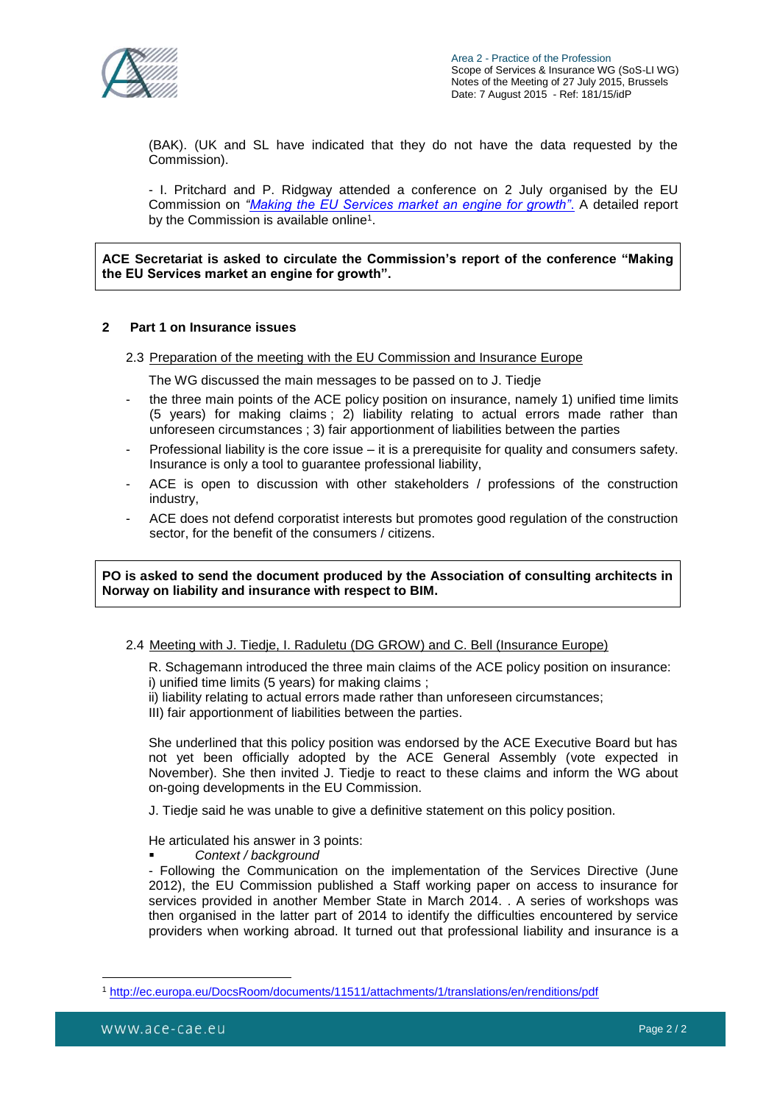

(BAK). (UK and SL have indicated that they do not have the data requested by the Commission).

- I. Pritchard and P. Ridgway attended a conference on 2 July organised by the EU Commission on *["Making the EU Services market an engine for growth"](http://ec.europa.eu/growth/tools-databases/newsroom/cf/itemdetail.cfm?item_id=8305)*. A detailed report by the Commission is available online<sup>1</sup>.

**ACE Secretariat is asked to circulate the Commission's report of the conference "Making the EU Services market an engine for growth".**

#### **2 Part 1 on Insurance issues**

2.3 Preparation of the meeting with the EU Commission and Insurance Europe

The WG discussed the main messages to be passed on to J. Tiedje

- the three main points of the ACE policy position on insurance, namely 1) unified time limits (5 years) for making claims ; 2) liability relating to actual errors made rather than unforeseen circumstances ; 3) fair apportionment of liabilities between the parties
- Professional liability is the core issue it is a prerequisite for quality and consumers safety. Insurance is only a tool to guarantee professional liability,
- ACE is open to discussion with other stakeholders / professions of the construction industry,
- ACE does not defend corporatist interests but promotes good regulation of the construction sector, for the benefit of the consumers / citizens.

## **PO is asked to send the document produced by the Association of consulting architects in Norway on liability and insurance with respect to BIM.**

## 2.4 Meeting with J. Tiedje, I. Raduletu (DG GROW) and C. Bell (Insurance Europe)

R. Schagemann introduced the three main claims of the ACE policy position on insurance: i) unified time limits (5 years) for making claims ;

ii) liability relating to actual errors made rather than unforeseen circumstances;

III) fair apportionment of liabilities between the parties.

She underlined that this policy position was endorsed by the ACE Executive Board but has not yet been officially adopted by the ACE General Assembly (vote expected in November). She then invited J. Tiedje to react to these claims and inform the WG about on-going developments in the EU Commission.

J. Tiedje said he was unable to give a definitive statement on this policy position.

He articulated his answer in 3 points:

*Context / background*

- Following the Communication on the implementation of the Services Directive (June 2012), the EU Commission published a Staff working paper on access to insurance for services provided in another Member State in March 2014. . A series of workshops was then organised in the latter part of 2014 to identify the difficulties encountered by service providers when working abroad. It turned out that professional liability and insurance is a

 $\overline{a}$ <sup>1</sup> <http://ec.europa.eu/DocsRoom/documents/11511/attachments/1/translations/en/renditions/pdf>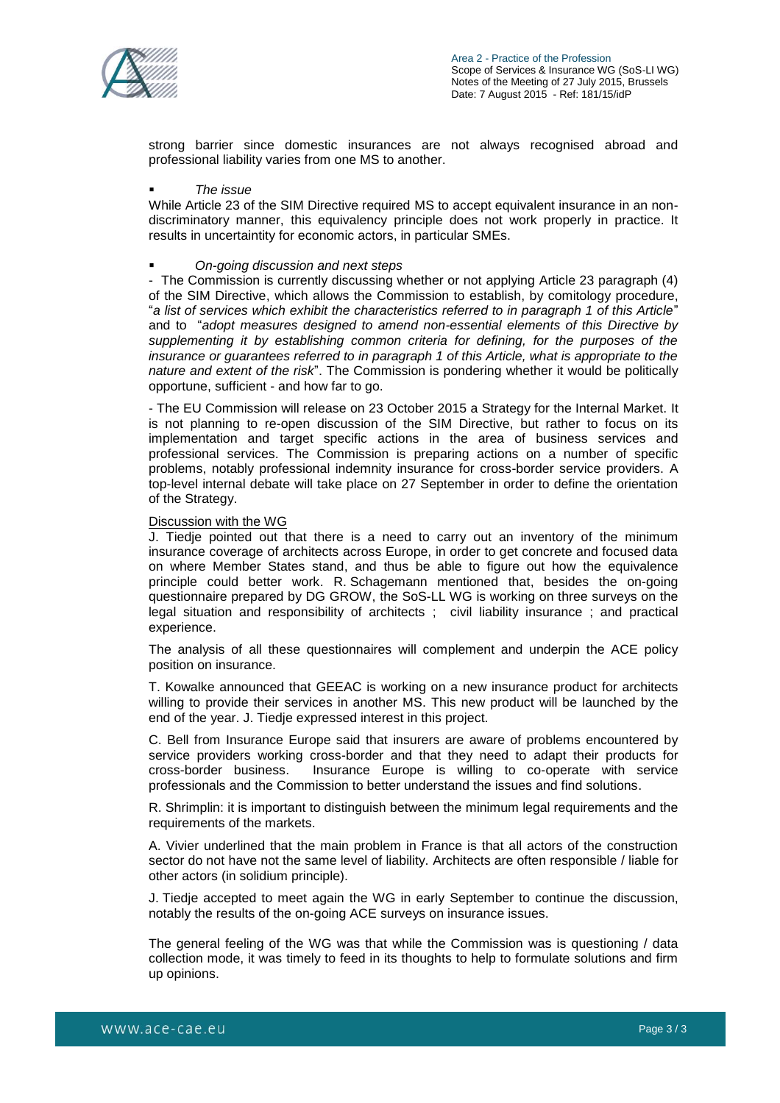

strong barrier since domestic insurances are not always recognised abroad and professional liability varies from one MS to another.

#### *The issue*

While Article 23 of the SIM Directive required MS to accept equivalent insurance in an nondiscriminatory manner, this equivalency principle does not work properly in practice. It results in uncertaintity for economic actors, in particular SMEs.

#### *On-going discussion and next steps*

- The Commission is currently discussing whether or not applying Article 23 paragraph (4) of the SIM Directive, which allows the Commission to establish, by comitology procedure, "*a list of services which exhibit the characteristics referred to in paragraph 1 of this Article*" and to "*adopt measures designed to amend non-essential elements of this Directive by supplementing it by establishing common criteria for defining, for the purposes of the insurance or guarantees referred to in paragraph 1 of this Article, what is appropriate to the nature and extent of the risk*". The Commission is pondering whether it would be politically opportune, sufficient - and how far to go.

- The EU Commission will release on 23 October 2015 a Strategy for the Internal Market. It is not planning to re-open discussion of the SIM Directive, but rather to focus on its implementation and target specific actions in the area of business services and professional services. The Commission is preparing actions on a number of specific problems, notably professional indemnity insurance for cross-border service providers. A top-level internal debate will take place on 27 September in order to define the orientation of the Strategy.

#### Discussion with the WG

J. Tiedje pointed out that there is a need to carry out an inventory of the minimum insurance coverage of architects across Europe, in order to get concrete and focused data on where Member States stand, and thus be able to figure out how the equivalence principle could better work. R. Schagemann mentioned that, besides the on-going questionnaire prepared by DG GROW, the SoS-LL WG is working on three surveys on the legal situation and responsibility of architects ; civil liability insurance ; and practical experience.

The analysis of all these questionnaires will complement and underpin the ACE policy position on insurance.

T. Kowalke announced that GEEAC is working on a new insurance product for architects willing to provide their services in another MS. This new product will be launched by the end of the year. J. Tiedje expressed interest in this project.

C. Bell from Insurance Europe said that insurers are aware of problems encountered by service providers working cross-border and that they need to adapt their products for cross-border business. Insurance Europe is willing to co-operate with service professionals and the Commission to better understand the issues and find solutions.

R. Shrimplin: it is important to distinguish between the minimum legal requirements and the requirements of the markets.

A. Vivier underlined that the main problem in France is that all actors of the construction sector do not have not the same level of liability. Architects are often responsible / liable for other actors (in solidium principle).

J. Tiedje accepted to meet again the WG in early September to continue the discussion, notably the results of the on-going ACE surveys on insurance issues.

The general feeling of the WG was that while the Commission was is questioning / data collection mode, it was timely to feed in its thoughts to help to formulate solutions and firm up opinions.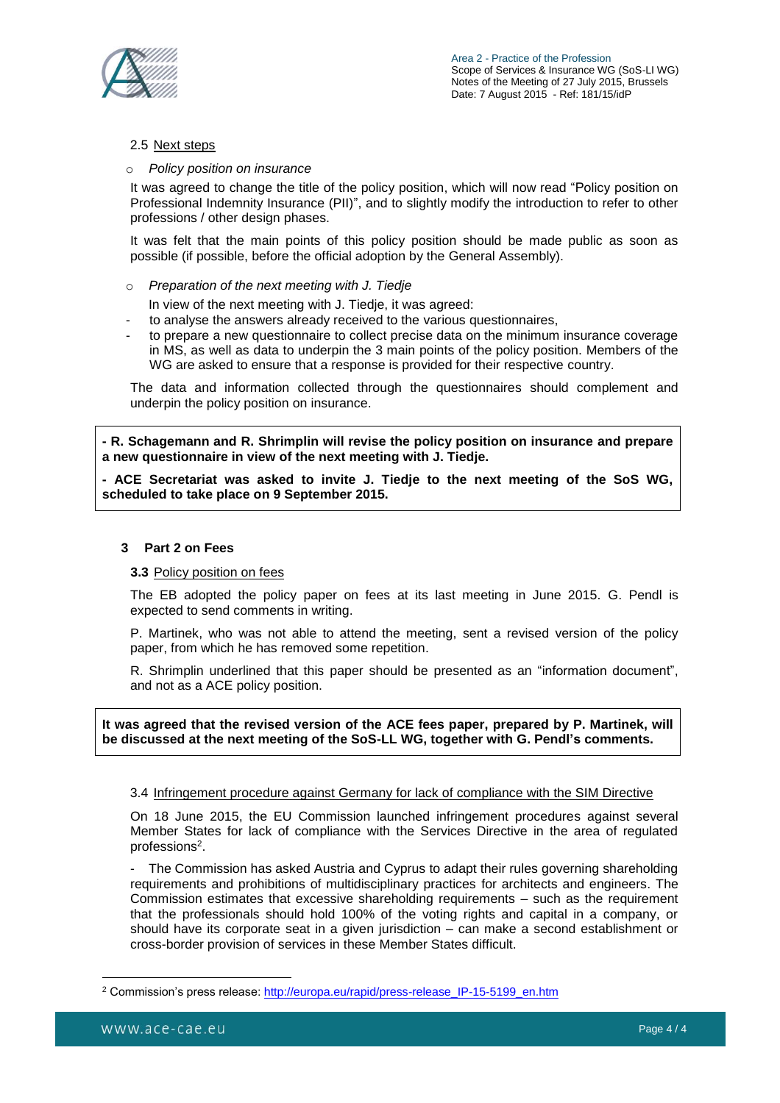

## 2.5 Next steps

## **Policy position on insurance**

It was agreed to change the title of the policy position, which will now read "Policy position on Professional Indemnity Insurance (PII)", and to slightly modify the introduction to refer to other professions / other design phases.

It was felt that the main points of this policy position should be made public as soon as possible (if possible, before the official adoption by the General Assembly).

o *Preparation of the next meeting with J. Tiedje*

In view of the next meeting with J. Tiedje, it was agreed:

- to analyse the answers already received to the various questionnaires,
- to prepare a new questionnaire to collect precise data on the minimum insurance coverage in MS, as well as data to underpin the 3 main points of the policy position. Members of the WG are asked to ensure that a response is provided for their respective country.

The data and information collected through the questionnaires should complement and underpin the policy position on insurance.

**- R. Schagemann and R. Shrimplin will revise the policy position on insurance and prepare a new questionnaire in view of the next meeting with J. Tiedje.**

**- ACE Secretariat was asked to invite J. Tiedje to the next meeting of the SoS WG, scheduled to take place on 9 September 2015.** 

## **3 Part 2 on Fees**

## **3.3** Policy position on fees

The EB adopted the policy paper on fees at its last meeting in June 2015. G. Pendl is expected to send comments in writing.

P. Martinek, who was not able to attend the meeting, sent a revised version of the policy paper, from which he has removed some repetition.

R. Shrimplin underlined that this paper should be presented as an "information document", and not as a ACE policy position.

**It was agreed that the revised version of the ACE fees paper, prepared by P. Martinek, will be discussed at the next meeting of the SoS-LL WG, together with G. Pendl's comments.**

## 3.4 Infringement procedure against Germany for lack of compliance with the SIM Directive

On 18 June 2015, the EU Commission launched infringement procedures against several Member States for lack of compliance with the Services Directive in the area of regulated professions<sup>2</sup>.

The Commission has asked Austria and Cyprus to adapt their rules governing shareholding requirements and prohibitions of multidisciplinary practices for architects and engineers. The Commission estimates that excessive shareholding requirements – such as the requirement that the professionals should hold 100% of the voting rights and capital in a company, or should have its corporate seat in a given jurisdiction – can make a second establishment or cross-border provision of services in these Member States difficult.

 $\overline{a}$ <sup>2</sup> Commission's press release: [http://europa.eu/rapid/press-release\\_IP-15-5199\\_en.htm](http://europa.eu/rapid/press-release_IP-15-5199_en.htm)